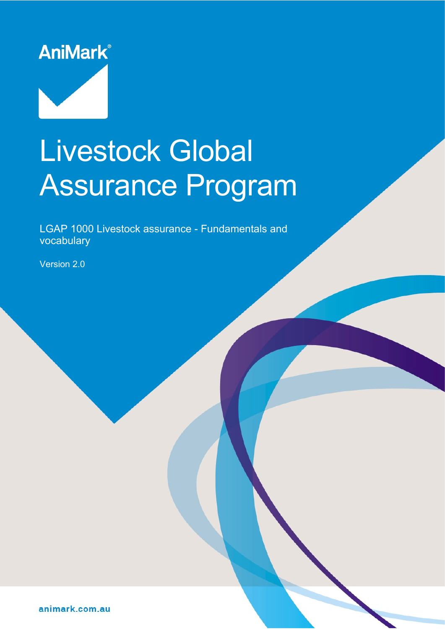

# Livestock Global Assurance Program

LGAP 1000 Livestock assurance - Fundamentals and vocabulary

Document reference: LGAP-1000-2021 Operative date: 23 June 2021 Page: 1 of 30

Version: 2.0 Approved by: AniMark Board

Version 2.0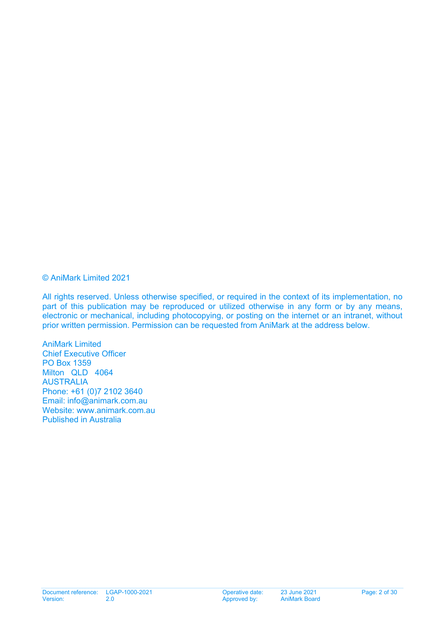#### © AniMark Limited 2021

All rights reserved. Unless otherwise specified, or required in the context of its implementation, no part of this publication may be reproduced or utilized otherwise in any form or by any means, electronic or mechanical, including photocopying, or posting on the internet or an intranet, without prior written permission. Permission can be requested from AniMark at the address below.

AniMark Limited Chief Executive Officer PO Box 1359 Milton QLD 4064 AUSTRALIA Phone: +61 (0)7 2102 3640 Email: [info@animark.com.au](mailto:info@animark.com.au) Website: [www.animark.com.au](http://www.animark.com.au/) Published in Australia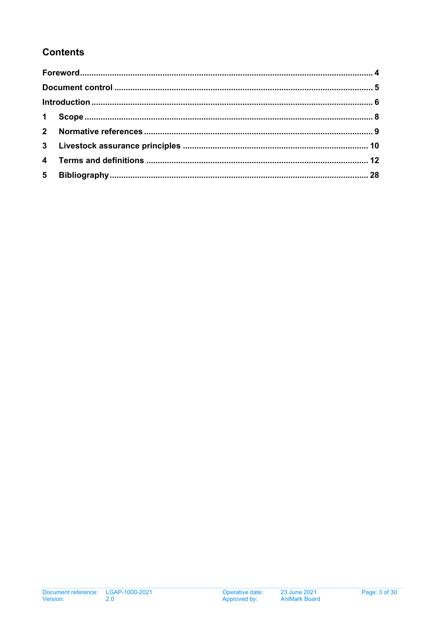# **Contents**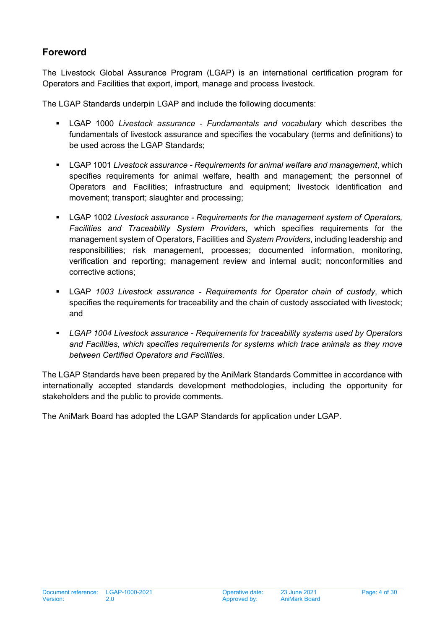## <span id="page-3-0"></span>**Foreword**

The Livestock Global Assurance Program (LGAP) is an international certification program for Operators and Facilities that export, import, manage and process livestock.

The LGAP Standards underpin LGAP and include the following documents:

- LGAP 1000 *Livestock assurance - Fundamentals and vocabulary* which describes the fundamentals of livestock assurance and specifies the vocabulary (terms and definitions) to be used across the LGAP Standards;
- LGAP 1001 *Livestock assurance - Requirements for animal welfare and management*, which specifies requirements for animal welfare, health and management; the personnel of Operators and Facilities; infrastructure and equipment; livestock identification and movement; transport; slaughter and processing;
- LGAP 1002 *Livestock assurance - Requirements for the management system of Operators, Facilities and Traceability System Providers*, which specifies requirements for the management system of Operators, Facilities and *System Providers*, including leadership and responsibilities; risk management, processes; documented information, monitoring, verification and reporting; management review and internal audit; nonconformities and corrective actions;
- LGAP *1003 Livestock assurance - Requirements for Operator chain of custody*, which specifies the requirements for traceability and the chain of custody associated with livestock; and
- *LGAP 1004 Livestock assurance - Requirements for traceability systems used by Operators and Facilities, which specifies requirements for systems which trace animals as they move between Certified Operators and Facilities.*

The LGAP Standards have been prepared by the AniMark Standards Committee in accordance with internationally accepted standards development methodologies, including the opportunity for stakeholders and the public to provide comments.

The AniMark Board has adopted the LGAP Standards for application under LGAP.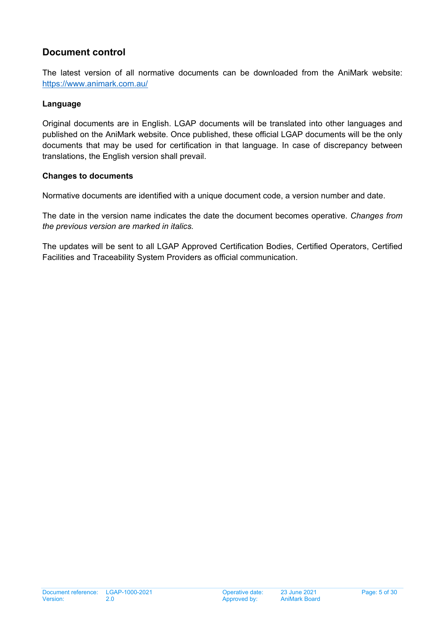## <span id="page-4-0"></span>**Document control**

The latest version of all normative documents can be downloaded from the AniMark website: <https://www.animark.com.au/>

#### **Language**

Original documents are in English. LGAP documents will be translated into other languages and published on the AniMark website. Once published, these official LGAP documents will be the only documents that may be used for certification in that language. In case of discrepancy between translations, the English version shall prevail.

#### **Changes to documents**

Normative documents are identified with a unique document code, a version number and date.

The date in the version name indicates the date the document becomes operative. *Changes from the previous version are marked in italics.* 

The updates will be sent to all LGAP Approved Certification Bodies, Certified Operators, Certified Facilities and Traceability System Providers as official communication.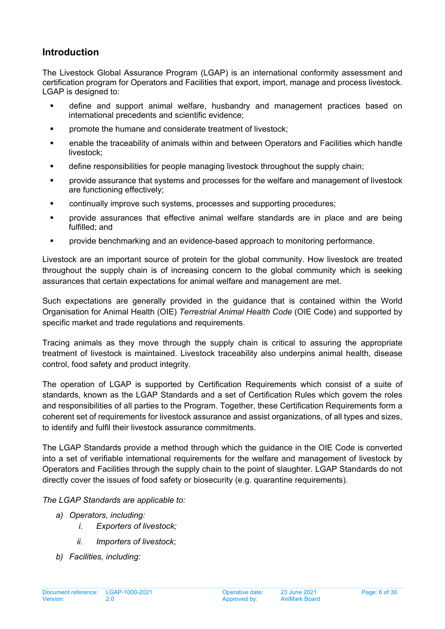## <span id="page-5-0"></span>**Introduction**

The Livestock Global Assurance Program (LGAP) is an international conformity assessment and certification program for Operators and Facilities that export, import, manage and process livestock. LGAP is designed to:

- define and support animal welfare, husbandry and management practices based on international precedents and scientific evidence;
- **Part in the summane and considerate treatment of livestock;**
- enable the traceability of animals within and between Operators and Facilities which handle livestock;
- define responsibilities for people managing livestock throughout the supply chain;
- provide assurance that systems and processes for the welfare and management of livestock are functioning effectively;
- continually improve such systems, processes and supporting procedures;
- provide assurances that effective animal welfare standards are in place and are being fulfilled; and
- provide benchmarking and an evidence-based approach to monitoring performance.

Livestock are an important source of protein for the global community. How livestock are treated throughout the supply chain is of increasing concern to the global community which is seeking assurances that certain expectations for animal welfare and management are met.

Such expectations are generally provided in the guidance that is contained within the World Organisation for Animal Health (OIE) *Terrestrial Animal Health Code* (OIE Code) and supported by specific market and trade requiations and requirements.

Tracing animals as they move through the supply chain is critical to assuring the appropriate treatment of livestock is maintained. Livestock traceability also underpins animal health, disease control, food safety and product integrity.

The operation of LGAP is supported by Certification Requirements which consist of a suite of standards, known as the LGAP Standards and a set of Certification Rules which govern the roles and responsibilities of all parties to the Program. Together, these Certification Requirements form a coherent set of requirements for livestock assurance and assist organizations, of all types and sizes, to identify and fulfil their livestock assurance commitments.

The LGAP Standards provide a method through which the guidance in the OIE Code is converted into a set of verifiable international requirements for the welfare and management of livestock by Operators and Facilities through the supply chain to the point of slaughter. LGAP Standards do not directly cover the issues of food safety or biosecurity (e.g. quarantine requirements).

*The LGAP Standards are applicable to:*

- *a) Operators, including:*
	- *i. Exporters of livestock;*
	- *ii. Importers of livestock;*
- *b) Facilities, including:*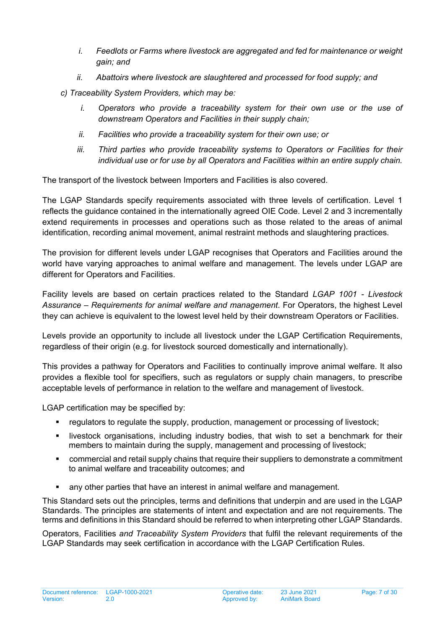- *i. Feedlots or Farms where livestock are aggregated and fed for maintenance or weight gain; and*
- *ii. Abattoirs where livestock are slaughtered and processed for food supply; and*
- *c) Traceability System Providers, which may be:*
	- *i. Operators who provide a traceability system for their own use or the use of downstream Operators and Facilities in their supply chain;*
	- *ii. Facilities who provide a traceability system for their own use; or*
	- iii. Third parties who provide traceability systems to Operators or Facilities for their *individual use or for use by all Operators and Facilities within an entire supply chain.*

The transport of the livestock between Importers and Facilities is also covered.

The LGAP Standards specify requirements associated with three levels of certification. Level 1 reflects the guidance contained in the internationally agreed OIE Code. Level 2 and 3 incrementally extend requirements in processes and operations such as those related to the areas of animal identification, recording animal movement, animal restraint methods and slaughtering practices.

The provision for different levels under LGAP recognises that Operators and Facilities around the world have varying approaches to animal welfare and management. The levels under LGAP are different for Operators and Facilities.

Facility levels are based on certain practices related to the Standard *LGAP 1001 - Livestock Assurance – Requirements for animal welfare and management*. For Operators, the highest Level they can achieve is equivalent to the lowest level held by their downstream Operators or Facilities.

Levels provide an opportunity to include all livestock under the LGAP Certification Requirements, regardless of their origin (e.g. for livestock sourced domestically and internationally).

This provides a pathway for Operators and Facilities to continually improve animal welfare. It also provides a flexible tool for specifiers, such as regulators or supply chain managers, to prescribe acceptable levels of performance in relation to the welfare and management of livestock.

LGAP certification may be specified by:

- **F** regulators to regulate the supply, production, management or processing of livestock;
- livestock organisations, including industry bodies, that wish to set a benchmark for their members to maintain during the supply, management and processing of livestock;
- commercial and retail supply chains that require their suppliers to demonstrate a commitment to animal welfare and traceability outcomes; and
- **EXECT** any other parties that have an interest in animal welfare and management.

This Standard sets out the principles, terms and definitions that underpin and are used in the LGAP Standards. The principles are statements of intent and expectation and are not requirements. The terms and definitions in this Standard should be referred to when interpreting other LGAP Standards.

Operators, Facilities *and Traceability System Providers* that fulfil the relevant requirements of the LGAP Standards may seek certification in accordance with the LGAP Certification Rules.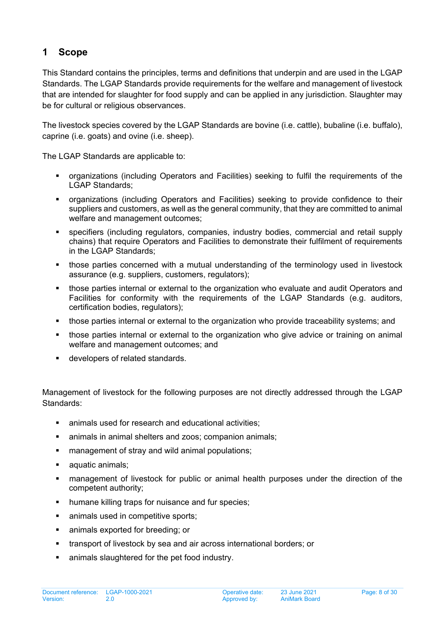## <span id="page-7-0"></span>**1 Scope**

This Standard contains the principles, terms and definitions that underpin and are used in the LGAP Standards. The LGAP Standards provide requirements for the welfare and management of livestock that are intended for slaughter for food supply and can be applied in any jurisdiction. Slaughter may be for cultural or religious observances.

The livestock species covered by the LGAP Standards are bovine (i.e. cattle), bubaline (i.e. buffalo), caprine (i.e. goats) and ovine (i.e. sheep).

The LGAP Standards are applicable to:

- organizations (including Operators and Facilities) seeking to fulfil the requirements of the LGAP Standards;
- organizations (including Operators and Facilities) seeking to provide confidence to their suppliers and customers, as well as the general community, that they are committed to animal welfare and management outcomes;
- specifiers (including regulators, companies, industry bodies, commercial and retail supply chains) that require Operators and Facilities to demonstrate their fulfilment of requirements in the LGAP Standards;
- those parties concerned with a mutual understanding of the terminology used in livestock assurance (e.g. suppliers, customers, regulators);
- **those parties internal or external to the organization who evaluate and audit Operators and** Facilities for conformity with the requirements of the LGAP Standards (e.g. auditors, certification bodies, regulators);
- those parties internal or external to the organization who provide traceability systems; and
- those parties internal or external to the organization who give advice or training on animal welfare and management outcomes; and
- developers of related standards.

Management of livestock for the following purposes are not directly addressed through the LGAP Standards:

- animals used for research and educational activities;
- **EXEDEE** animals in animal shelters and zoos; companion animals;
- **EXECT** management of stray and wild animal populations;
- **a** aquatic animals;
- management of livestock for public or animal health purposes under the direction of the competent authority;
- humane killing traps for nuisance and fur species;
- **EXECUTE:** animals used in competitive sports:
- **Exported for breeding; or**
- transport of livestock by sea and air across international borders; or
- animals slaughtered for the pet food industry.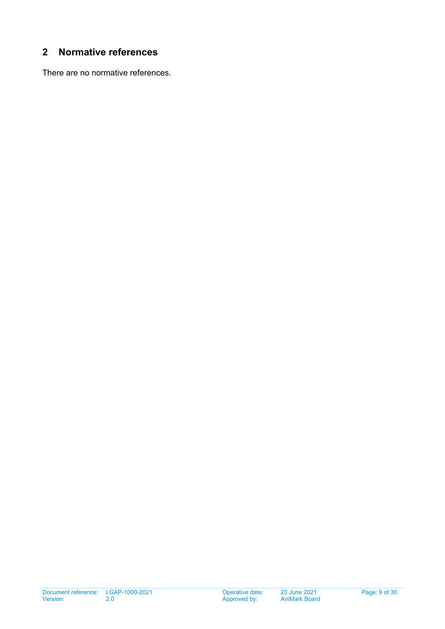## <span id="page-8-0"></span>**2 Normative references**

There are no normative references.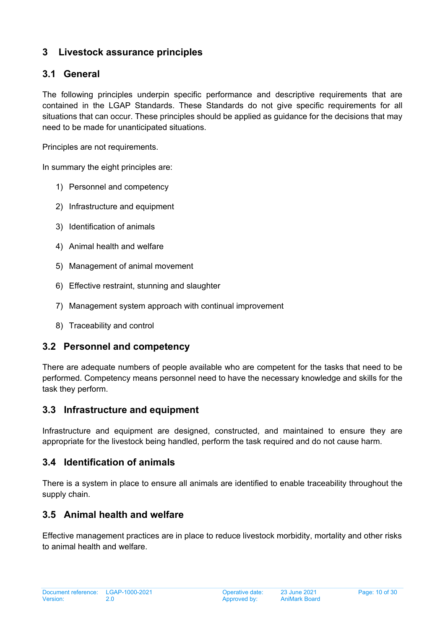## <span id="page-9-0"></span>**3 Livestock assurance principles**

## **3.1 General**

The following principles underpin specific performance and descriptive requirements that are contained in the LGAP Standards. These Standards do not give specific requirements for all situations that can occur. These principles should be applied as guidance for the decisions that may need to be made for unanticipated situations.

Principles are not requirements.

In summary the eight principles are:

- 1) Personnel and competency
- 2) Infrastructure and equipment
- 3) Identification of animals
- 4) Animal health and welfare
- 5) Management of animal movement
- 6) Effective restraint, stunning and slaughter
- 7) Management system approach with continual improvement
- 8) Traceability and control

#### **3.2 Personnel and competency**

There are adequate numbers of people available who are competent for the tasks that need to be performed. Competency means personnel need to have the necessary knowledge and skills for the task they perform.

#### **3.3 Infrastructure and equipment**

Infrastructure and equipment are designed, constructed, and maintained to ensure they are appropriate for the livestock being handled, perform the task required and do not cause harm.

#### **3.4 Identification of animals**

There is a system in place to ensure all animals are identified to enable traceability throughout the supply chain.

#### **3.5 Animal health and welfare**

Effective management practices are in place to reduce livestock morbidity, mortality and other risks to animal health and welfare.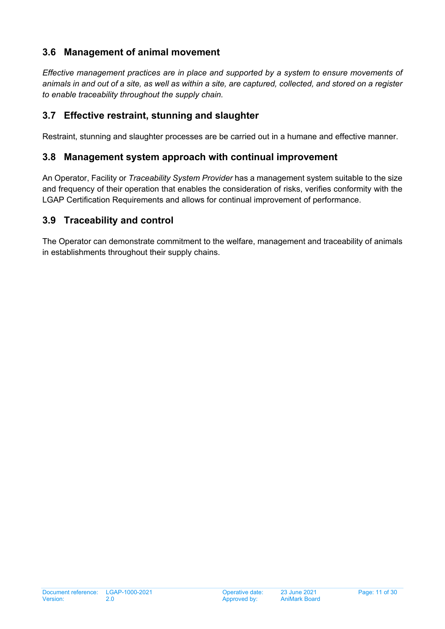## **3.6 Management of animal movement**

*Effective management practices are in place and supported by a system to ensure movements of animals in and out of a site, as well as within a site, are captured, collected, and stored on a register to enable traceability throughout the supply chain.*

## **3.7 Effective restraint, stunning and slaughter**

Restraint, stunning and slaughter processes are be carried out in a humane and effective manner.

#### **3.8 Management system approach with continual improvement**

An Operator, Facility or *Traceability System Provider* has a management system suitable to the size and frequency of their operation that enables the consideration of risks, verifies conformity with the LGAP Certification Requirements and allows for continual improvement of performance.

## **3.9 Traceability and control**

The Operator can demonstrate commitment to the welfare, management and traceability of animals in establishments throughout their supply chains.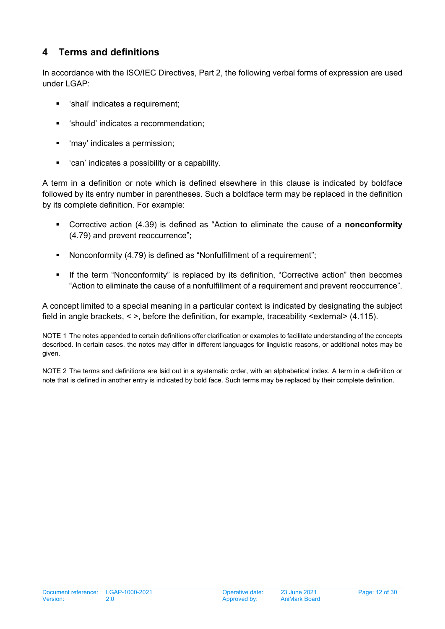# <span id="page-11-0"></span>**4 Terms and definitions**

In accordance with the ISO/IEC Directives, Part 2, the following verbal forms of expression are used under LGAP:

- 'shall' indicates a requirement;
- 'should' indicates a recommendation;
- 'may' indicates a permission;
- 'can' indicates a possibility or a capability.

A term in a definition or note which is defined elsewhere in this clause is indicated by boldface followed by its entry number in parentheses. Such a boldface term may be replaced in the definition by its complete definition. For example:

- Corrective action (4.39) is defined as "Action to eliminate the cause of a **nonconformity** [\(4.79](#page-20-0)) and prevent reoccurrence";
- Nonconformity (4.79) is defined as "Nonfulfillment of a requirement";
- If the term "Nonconformity" is replaced by its definition, "Corrective action" then becomes "Action to eliminate the cause of a nonfulfillment of a requirement and prevent reoccurrence".

A concept limited to a special meaning in a particular context is indicated by designating the subject field in angle brackets, < >, before the definition, for example, traceability <external> (4.115).

NOTE 1 The notes appended to certain definitions offer clarification or examples to facilitate understanding of the concepts described. In certain cases, the notes may differ in different languages for linguistic reasons, or additional notes may be given.

NOTE 2 The terms and definitions are laid out in a systematic order, with an alphabetical index. A term in a definition or note that is defined in another entry is indicated by bold face. Such terms may be replaced by their complete definition.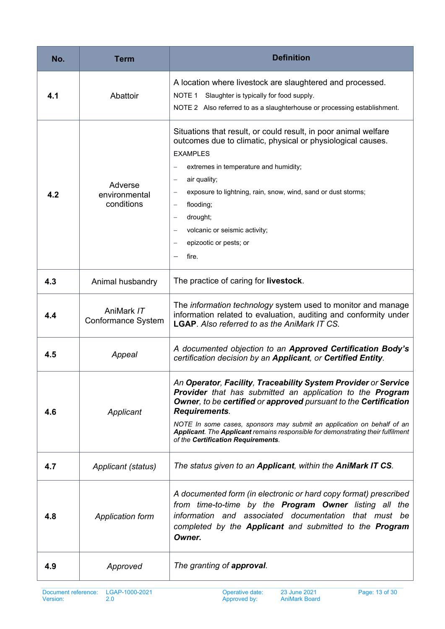| No. | <b>Term</b>                            | <b>Definition</b>                                                                                                                                                                                                                                                                                                                                                                                                                               |
|-----|----------------------------------------|-------------------------------------------------------------------------------------------------------------------------------------------------------------------------------------------------------------------------------------------------------------------------------------------------------------------------------------------------------------------------------------------------------------------------------------------------|
| 4.1 | Abattoir                               | A location where livestock are slaughtered and processed.<br>NOTE 1 Slaughter is typically for food supply.<br>NOTE 2 Also referred to as a slaughterhouse or processing establishment.                                                                                                                                                                                                                                                         |
| 4.2 | Adverse<br>environmental<br>conditions | Situations that result, or could result, in poor animal welfare<br>outcomes due to climatic, physical or physiological causes.<br><b>EXAMPLES</b><br>extremes in temperature and humidity;<br>air quality;<br>$\qquad \qquad -$<br>exposure to lightning, rain, snow, wind, sand or dust storms;<br>flooding;<br>$\qquad \qquad -$<br>drought;<br>volcanic or seismic activity;<br>epizootic or pests; or<br>fire.                              |
| 4.3 | Animal husbandry                       | The practice of caring for <b>livestock</b> .                                                                                                                                                                                                                                                                                                                                                                                                   |
| 4.4 | AniMark IT<br>Conformance System       | The information technology system used to monitor and manage<br>information related to evaluation, auditing and conformity under<br><b>LGAP.</b> Also referred to as the AniMark IT CS.                                                                                                                                                                                                                                                         |
| 4.5 | Appeal                                 | A documented objection to an Approved Certification Body's<br>certification decision by an Applicant, or Certified Entity.                                                                                                                                                                                                                                                                                                                      |
| 4.6 | Applicant                              | An Operator, Facility, Traceability System Provider or Service<br><b>Provider</b> that has submitted an application to the <b>Program</b><br><b>Owner, to be certified or approved pursuant to the Certification</b><br><b>Requirements.</b><br>NOTE In some cases, sponsors may submit an application on behalf of an<br>Applicant. The Applicant remains responsible for demonstrating their fulfilment<br>of the Certification Requirements. |
| 4.7 | Applicant (status)                     | The status given to an Applicant, within the AniMark IT CS.                                                                                                                                                                                                                                                                                                                                                                                     |
| 4.8 | <b>Application form</b>                | A documented form (in electronic or hard copy format) prescribed<br>from time-to-time by the Program Owner listing all the<br>information and associated documentation that must be<br>completed by the Applicant and submitted to the Program<br>Owner.                                                                                                                                                                                        |
| 4.9 | Approved                               | The granting of approval.                                                                                                                                                                                                                                                                                                                                                                                                                       |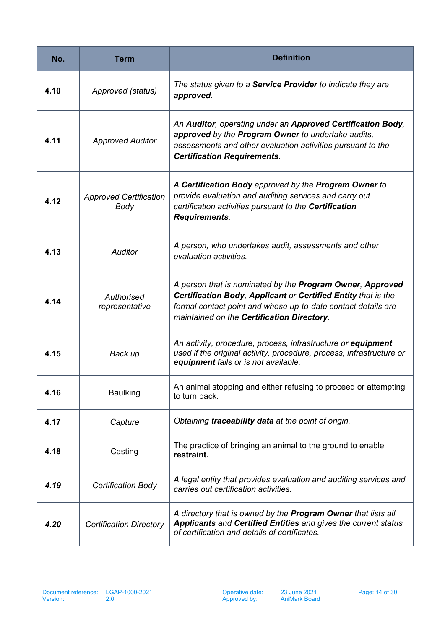| No.  | Term                                  | <b>Definition</b>                                                                                                                                                                                                                         |
|------|---------------------------------------|-------------------------------------------------------------------------------------------------------------------------------------------------------------------------------------------------------------------------------------------|
| 4.10 | Approved (status)                     | The status given to a Service Provider to indicate they are<br>approved.                                                                                                                                                                  |
| 4.11 | <b>Approved Auditor</b>               | An Auditor, operating under an Approved Certification Body,<br>approved by the Program Owner to undertake audits,<br>assessments and other evaluation activities pursuant to the<br><b>Certification Requirements.</b>                    |
| 4.12 | <b>Approved Certification</b><br>Body | A Certification Body approved by the Program Owner to<br>provide evaluation and auditing services and carry out<br>certification activities pursuant to the Certification<br><b>Requirements.</b>                                         |
| 4.13 | <b>Auditor</b>                        | A person, who undertakes audit, assessments and other<br>evaluation activities.                                                                                                                                                           |
| 4.14 | Authorised<br>representative          | A person that is nominated by the Program Owner, Approved<br>Certification Body, Applicant or Certified Entity that is the<br>formal contact point and whose up-to-date contact details are<br>maintained on the Certification Directory. |
| 4.15 | Back up                               | An activity, procedure, process, infrastructure or equipment<br>used if the original activity, procedure, process, infrastructure or<br>equipment fails or is not available.                                                              |
| 4.16 | <b>Baulking</b>                       | An animal stopping and either refusing to proceed or attempting<br>to turn back.                                                                                                                                                          |
| 4.17 | Capture                               | Obtaining traceability data at the point of origin.                                                                                                                                                                                       |
| 4.18 | Casting                               | The practice of bringing an animal to the ground to enable<br>restraint.                                                                                                                                                                  |
| 4.19 | <b>Certification Body</b>             | A legal entity that provides evaluation and auditing services and<br>carries out certification activities.                                                                                                                                |
| 4.20 | <b>Certification Directory</b>        | A directory that is owned by the Program Owner that lists all<br><b>Applicants and Certified Entities and gives the current status</b><br>of certification and details of certificates.                                                   |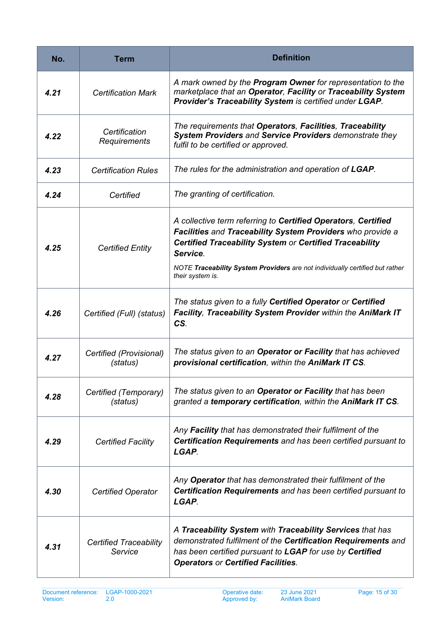| No.  | <b>Term</b>                              | <b>Definition</b>                                                                                                                                                                                                                                                                                             |
|------|------------------------------------------|---------------------------------------------------------------------------------------------------------------------------------------------------------------------------------------------------------------------------------------------------------------------------------------------------------------|
| 4.21 | <b>Certification Mark</b>                | A mark owned by the Program Owner for representation to the<br>marketplace that an Operator, Facility or Traceability System<br>Provider's Traceability System is certified under LGAP.                                                                                                                       |
| 4.22 | Certification<br>Requirements            | The requirements that Operators, Facilities, Traceability<br>System Providers and Service Providers demonstrate they<br>fulfil to be certified or approved.                                                                                                                                                   |
| 4.23 | <b>Certification Rules</b>               | The rules for the administration and operation of LGAP.                                                                                                                                                                                                                                                       |
| 4.24 | Certified                                | The granting of certification.                                                                                                                                                                                                                                                                                |
| 4.25 | <b>Certified Entity</b>                  | A collective term referring to Certified Operators, Certified<br>Facilities and Traceability System Providers who provide a<br><b>Certified Traceability System or Certified Traceability</b><br>Service.<br>NOTE Traceability System Providers are not individually certified but rather<br>their system is. |
| 4.26 | Certified (Full) (status)                | The status given to a fully Certified Operator or Certified<br>Facility, Traceability System Provider within the AniMark IT<br>CS.                                                                                                                                                                            |
| 4.27 | Certified (Provisional)<br>(status)      | The status given to an Operator or Facility that has achieved<br>provisional certification, within the AniMark IT CS.                                                                                                                                                                                         |
| 4.28 | Certified (Temporary)<br>(status)        | The status given to an Operator or Facility that has been<br>granted a temporary certification, within the AniMark IT CS.                                                                                                                                                                                     |
| 4.29 | <b>Certified Facility</b>                | Any Facility that has demonstrated their fulfilment of the<br>Certification Requirements and has been certified pursuant to<br>LGAP.                                                                                                                                                                          |
| 4.30 | <b>Certified Operator</b>                | Any Operator that has demonstrated their fulfilment of the<br><b>Certification Requirements</b> and has been certified pursuant to<br>LGAP.                                                                                                                                                                   |
| 4.31 | <b>Certified Traceability</b><br>Service | A Traceability System with Traceability Services that has<br>demonstrated fulfilment of the Certification Requirements and<br>has been certified pursuant to LGAP for use by Certified<br><b>Operators or Certified Facilities.</b>                                                                           |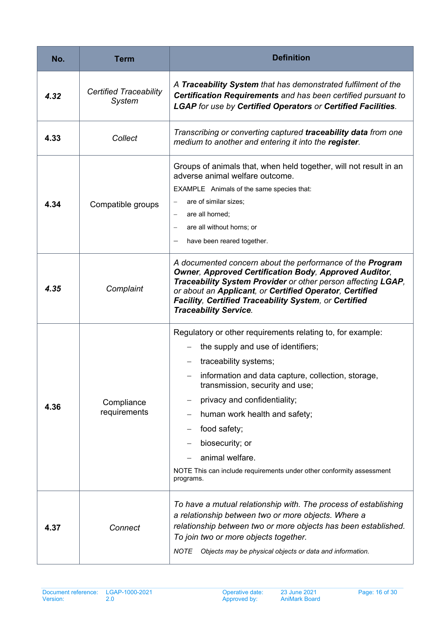| No.  | Term                                    | <b>Definition</b>                                                                                                                                                                                                                                                                                                                                                                                                              |
|------|-----------------------------------------|--------------------------------------------------------------------------------------------------------------------------------------------------------------------------------------------------------------------------------------------------------------------------------------------------------------------------------------------------------------------------------------------------------------------------------|
| 4.32 | <b>Certified Traceability</b><br>System | A Traceability System that has demonstrated fulfilment of the<br>Certification Requirements and has been certified pursuant to<br><b>LGAP</b> for use by Certified Operators or Certified Facilities.                                                                                                                                                                                                                          |
| 4.33 | Collect                                 | Transcribing or converting captured traceability data from one<br>medium to another and entering it into the register.                                                                                                                                                                                                                                                                                                         |
| 4.34 | Compatible groups                       | Groups of animals that, when held together, will not result in an<br>adverse animal welfare outcome.<br>EXAMPLE Animals of the same species that:<br>are of similar sizes;<br>are all horned;<br>are all without horns; or<br>have been reared together.                                                                                                                                                                       |
| 4.35 | Complaint                               | A documented concern about the performance of the Program<br><b>Owner, Approved Certification Body, Approved Auditor,</b><br>Traceability System Provider or other person affecting LGAP,<br>or about an Applicant, or Certified Operator, Certified<br>Facility, Certified Traceability System, or Certified<br><b>Traceability Service.</b>                                                                                  |
| 4.36 | Compliance<br>requirements              | Regulatory or other requirements relating to, for example:<br>the supply and use of identifiers;<br>traceability systems;<br>information and data capture, collection, storage,<br>transmission, security and use;<br>privacy and confidentiality;<br>human work health and safety;<br>food safety;<br>biosecurity; or<br>animal welfare.<br>NOTE This can include requirements under other conformity assessment<br>programs. |
| 4.37 | Connect                                 | To have a mutual relationship with. The process of establishing<br>a relationship between two or more objects. Where a<br>relationship between two or more objects has been established.<br>To join two or more objects together.<br>Objects may be physical objects or data and information.<br><b>NOTE</b>                                                                                                                   |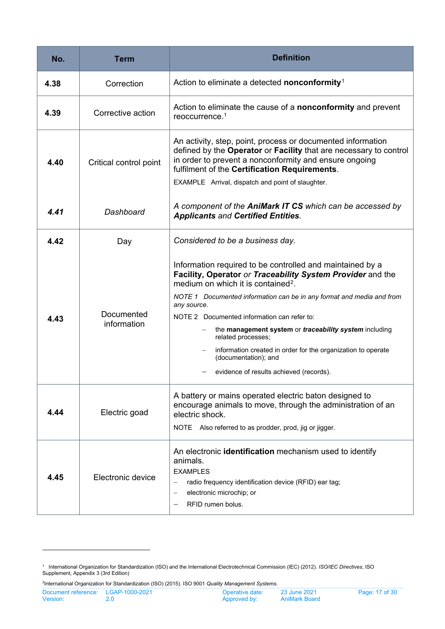| No.  | Term                      | <b>Definition</b>                                                                                                                                                                                                                                                                                                                                                                                                                                                                                                                   |
|------|---------------------------|-------------------------------------------------------------------------------------------------------------------------------------------------------------------------------------------------------------------------------------------------------------------------------------------------------------------------------------------------------------------------------------------------------------------------------------------------------------------------------------------------------------------------------------|
| 4.38 | Correction                | Action to eliminate a detected nonconformity <sup>1</sup>                                                                                                                                                                                                                                                                                                                                                                                                                                                                           |
| 4.39 | Corrective action         | Action to eliminate the cause of a nonconformity and prevent<br>reoccurrence. <sup>1</sup>                                                                                                                                                                                                                                                                                                                                                                                                                                          |
| 4.40 | Critical control point    | An activity, step, point, process or documented information<br>defined by the Operator or Facility that are necessary to control<br>in order to prevent a nonconformity and ensure ongoing<br>fulfilment of the Certification Requirements.<br>EXAMPLE Arrival, dispatch and point of slaughter.                                                                                                                                                                                                                                    |
| 4.41 | Dashboard                 | A component of the AniMark IT CS which can be accessed by<br><b>Applicants and Certified Entities.</b>                                                                                                                                                                                                                                                                                                                                                                                                                              |
| 4.42 | Day                       | Considered to be a business day.                                                                                                                                                                                                                                                                                                                                                                                                                                                                                                    |
| 4.43 | Documented<br>information | Information required to be controlled and maintained by a<br>Facility, Operator or Traceability System Provider and the<br>medium on which it is contained <sup>2</sup> .<br>NOTE 1 Documented information can be in any format and media and from<br>any source.<br>NOTE 2 Documented information can refer to:<br>the management system or traceability system including<br>related processes;<br>information created in order for the organization to operate<br>(documentation); and<br>evidence of results achieved (records). |
| 4.44 | Electric goad             | A battery or mains operated electric baton designed to<br>encourage animals to move, through the administration of an<br>electric shock.<br>NOTE Also referred to as prodder, prod, jig or jigger.                                                                                                                                                                                                                                                                                                                                  |
| 4.45 | Electronic device         | An electronic identification mechanism used to identify<br>animals.<br><b>EXAMPLES</b><br>radio frequency identification device (RFID) ear tag;<br>$\overline{\phantom{0}}$<br>electronic microchip; or<br>$\qquad \qquad -$<br>RFID rumen bolus.                                                                                                                                                                                                                                                                                   |

<span id="page-16-1"></span>

<span id="page-16-0"></span><sup>&</sup>lt;sup>1</sup> International Organization for Standardization (ISO) and the International Electrotechnical Commission (IEC) (2012)*. ISO/IEC Directives*, ISO<br>Supplement, Appendix 3 (3rd Edition)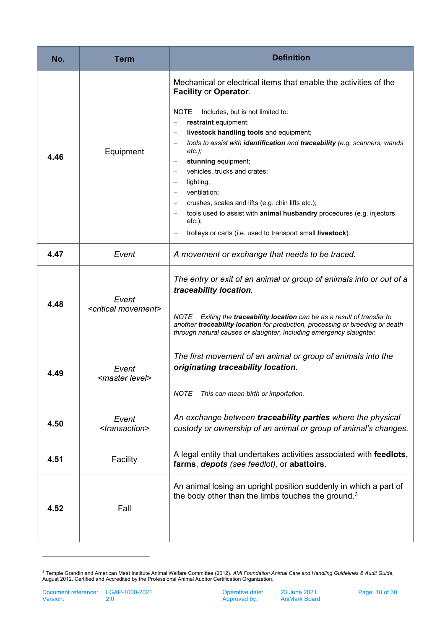| No.  | Term                                       | <b>Definition</b>                                                                                                                                                                                                                                                                                                                                                                                                                                                                                                                                                                                                                           |
|------|--------------------------------------------|---------------------------------------------------------------------------------------------------------------------------------------------------------------------------------------------------------------------------------------------------------------------------------------------------------------------------------------------------------------------------------------------------------------------------------------------------------------------------------------------------------------------------------------------------------------------------------------------------------------------------------------------|
| 4.46 | Equipment                                  | Mechanical or electrical items that enable the activities of the<br><b>Facility or Operator.</b><br><b>NOTE</b><br>Includes, but is not limited to:<br>restraint equipment;<br>livestock handling tools and equipment;<br>tools to assist with identification and traceability (e.g. scanners, wands<br>$etc.$ );<br>stunning equipment;<br>vehicles, trucks and crates;<br>lighting;<br>$\overline{\phantom{m}}$<br>ventilation;<br>crushes, scales and lifts (e.g. chin lifts etc.);<br>tools used to assist with animal husbandry procedures (e.g. injectors<br>$etc.$ );<br>trolleys or carts (i.e. used to transport small livestock). |
| 4.47 | Event                                      | A movement or exchange that needs to be traced.                                                                                                                                                                                                                                                                                                                                                                                                                                                                                                                                                                                             |
| 4.48 | Event<br><critical movement=""></critical> | The entry or exit of an animal or group of animals into or out of a<br>traceability location.<br><i>NOTE</i><br>Exiting the traceability location can be as a result of transfer to<br>another traceability location for production, processing or breeding or death<br>through natural causes or slaughter, including emergency slaughter.                                                                                                                                                                                                                                                                                                 |
| 4.49 | Event<br><master level=""></master>        | The first movement of an animal or group of animals into the<br>originating traceability location.<br><b>NOTE</b><br>This can mean birth or importation.                                                                                                                                                                                                                                                                                                                                                                                                                                                                                    |
| 4.50 | Event<br><transaction></transaction>       | An exchange between traceability parties where the physical<br>custody or ownership of an animal or group of animal's changes.                                                                                                                                                                                                                                                                                                                                                                                                                                                                                                              |
| 4.51 | Facility                                   | A legal entity that undertakes activities associated with feedlots,<br>farms, depots (see feedlot), or abattoirs.                                                                                                                                                                                                                                                                                                                                                                                                                                                                                                                           |
| 4.52 | Fall                                       | An animal losing an upright position suddenly in which a part of<br>the body other than the limbs touches the ground. <sup>3</sup>                                                                                                                                                                                                                                                                                                                                                                                                                                                                                                          |

<span id="page-17-0"></span><sup>&</sup>lt;sup>3</sup> Temple Grandin and American Meat Institute Animal Welfare Committee (2012). *AMI Foundation Animal Care and Handling Guidelines & Audit Guide*, August 2012. Certified and Accredited by the Professional Animal Auditor Certification Organization.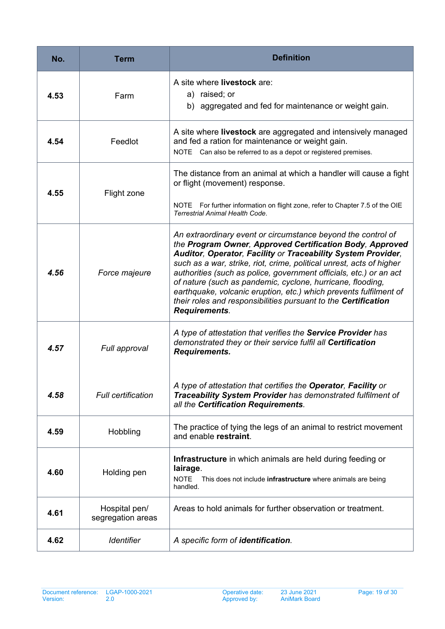| No.  | Term                               | <b>Definition</b>                                                                                                                                                                                                                                                                                                                                                                                                                                                                                                                                                   |
|------|------------------------------------|---------------------------------------------------------------------------------------------------------------------------------------------------------------------------------------------------------------------------------------------------------------------------------------------------------------------------------------------------------------------------------------------------------------------------------------------------------------------------------------------------------------------------------------------------------------------|
| 4.53 | Farm                               | A site where <b>livestock</b> are:<br>a) raised; or<br>b) aggregated and fed for maintenance or weight gain.                                                                                                                                                                                                                                                                                                                                                                                                                                                        |
| 4.54 | Feedlot                            | A site where livestock are aggregated and intensively managed<br>and fed a ration for maintenance or weight gain.<br>NOTE Can also be referred to as a depot or registered premises.                                                                                                                                                                                                                                                                                                                                                                                |
| 4.55 | Flight zone                        | The distance from an animal at which a handler will cause a fight<br>or flight (movement) response.<br>NOTE For further information on flight zone, refer to Chapter 7.5 of the OIE<br>Terrestrial Animal Health Code.                                                                                                                                                                                                                                                                                                                                              |
| 4.56 | Force majeure                      | An extraordinary event or circumstance beyond the control of<br>the Program Owner, Approved Certification Body, Approved<br>Auditor, Operator, Facility or Traceability System Provider,<br>such as a war, strike, riot, crime, political unrest, acts of higher<br>authorities (such as police, government officials, etc.) or an act<br>of nature (such as pandemic, cyclone, hurricane, flooding,<br>earthquake, volcanic eruption, etc.) which prevents fulfilment of<br>their roles and responsibilities pursuant to the Certification<br><b>Requirements.</b> |
| 4.57 | Full approval                      | A type of attestation that verifies the Service Provider has<br>demonstrated they or their service fulfil all Certification<br><b>Requirements.</b>                                                                                                                                                                                                                                                                                                                                                                                                                 |
| 4.58 | <b>Full certification</b>          | A type of attestation that certifies the Operator, Facility or<br>Traceability System Provider has demonstrated fulfilment of<br>all the Certification Requirements.                                                                                                                                                                                                                                                                                                                                                                                                |
| 4.59 | Hobbling                           | The practice of tying the legs of an animal to restrict movement<br>and enable restraint.                                                                                                                                                                                                                                                                                                                                                                                                                                                                           |
| 4.60 | Holding pen                        | Infrastructure in which animals are held during feeding or<br>lairage.<br><b>NOTE</b><br>This does not include infrastructure where animals are being<br>handled.                                                                                                                                                                                                                                                                                                                                                                                                   |
| 4.61 | Hospital pen/<br>segregation areas | Areas to hold animals for further observation or treatment.                                                                                                                                                                                                                                                                                                                                                                                                                                                                                                         |
| 4.62 | <b>Identifier</b>                  | A specific form of identification.                                                                                                                                                                                                                                                                                                                                                                                                                                                                                                                                  |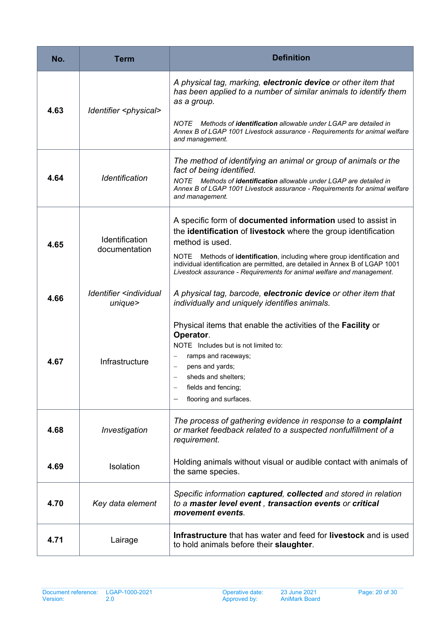| No.  | Term                                             | <b>Definition</b>                                                                                                                                                                                                                                                                                                                                                                                               |
|------|--------------------------------------------------|-----------------------------------------------------------------------------------------------------------------------------------------------------------------------------------------------------------------------------------------------------------------------------------------------------------------------------------------------------------------------------------------------------------------|
| 4.63 | Identifier <physical></physical>                 | A physical tag, marking, electronic device or other item that<br>has been applied to a number of similar animals to identify them<br>as a group.                                                                                                                                                                                                                                                                |
|      |                                                  | Methods of <b>identification</b> allowable under LGAP are detailed in<br><i>NOTE</i><br>Annex B of LGAP 1001 Livestock assurance - Requirements for animal welfare<br>and management.                                                                                                                                                                                                                           |
| 4.64 | Identification                                   | The method of identifying an animal or group of animals or the<br>fact of being identified.<br>NOTE Methods of <b>identification</b> allowable under LGAP are detailed in<br>Annex B of LGAP 1001 Livestock assurance - Requirements for animal welfare<br>and management.                                                                                                                                      |
| 4.65 | <b>Identification</b><br>documentation           | A specific form of <b>documented information</b> used to assist in<br>the identification of livestock where the group identification<br>method is used.<br><b>NOTE</b><br>Methods of <b>identification</b> , including where group identification and<br>individual identification are permitted, are detailed in Annex B of LGAP 1001<br>Livestock assurance - Requirements for animal welfare and management. |
| 4.66 | Identifier <individual<br>unique</individual<br> | A physical tag, barcode, electronic device or other item that<br>individually and uniquely identifies animals.                                                                                                                                                                                                                                                                                                  |
| 4.67 | Infrastructure                                   | Physical items that enable the activities of the Facility or<br>Operator.<br>NOTE Includes but is not limited to:<br>ramps and raceways;<br>pens and yards;<br>sheds and shelters:<br>$\overline{\phantom{m}}$<br>fields and fencing;<br>flooring and surfaces.                                                                                                                                                 |
| 4.68 | Investigation                                    | The process of gathering evidence in response to a complaint<br>or market feedback related to a suspected nonfulfillment of a<br>requirement.                                                                                                                                                                                                                                                                   |
| 4.69 | Isolation                                        | Holding animals without visual or audible contact with animals of<br>the same species.                                                                                                                                                                                                                                                                                                                          |
| 4.70 | Key data element                                 | Specific information captured, collected and stored in relation<br>to a master level event, transaction events or critical<br>movement events.                                                                                                                                                                                                                                                                  |
| 4.71 | Lairage                                          | Infrastructure that has water and feed for livestock and is used<br>to hold animals before their slaughter.                                                                                                                                                                                                                                                                                                     |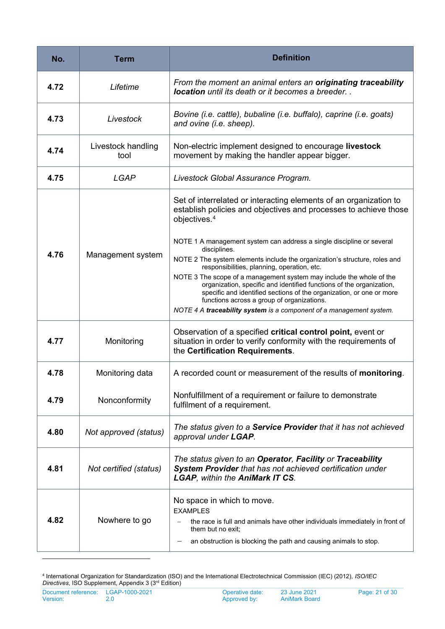| No.  | <b>Term</b>                | <b>Definition</b>                                                                                                                                                                                                                                                                                                                                                                                                                                                                                                                                                                                                                                                                                                                    |
|------|----------------------------|--------------------------------------------------------------------------------------------------------------------------------------------------------------------------------------------------------------------------------------------------------------------------------------------------------------------------------------------------------------------------------------------------------------------------------------------------------------------------------------------------------------------------------------------------------------------------------------------------------------------------------------------------------------------------------------------------------------------------------------|
| 4.72 | Lifetime                   | From the moment an animal enters an originating traceability<br><b>location</b> until its death or it becomes a breeder                                                                                                                                                                                                                                                                                                                                                                                                                                                                                                                                                                                                              |
| 4.73 | Livestock                  | Bovine (i.e. cattle), bubaline (i.e. buffalo), caprine (i.e. goats)<br>and ovine (i.e. sheep).                                                                                                                                                                                                                                                                                                                                                                                                                                                                                                                                                                                                                                       |
| 4.74 | Livestock handling<br>tool | Non-electric implement designed to encourage livestock<br>movement by making the handler appear bigger.                                                                                                                                                                                                                                                                                                                                                                                                                                                                                                                                                                                                                              |
| 4.75 | <b>LGAP</b>                | Livestock Global Assurance Program.                                                                                                                                                                                                                                                                                                                                                                                                                                                                                                                                                                                                                                                                                                  |
| 4.76 | Management system          | Set of interrelated or interacting elements of an organization to<br>establish policies and objectives and processes to achieve those<br>objectives. <sup>4</sup><br>NOTE 1 A management system can address a single discipline or several<br>disciplines.<br>NOTE 2 The system elements include the organization's structure, roles and<br>responsibilities, planning, operation, etc.<br>NOTE 3 The scope of a management system may include the whole of the<br>organization, specific and identified functions of the organization,<br>specific and identified sections of the organization, or one or more<br>functions across a group of organizations.<br>NOTE 4 A traceability system is a component of a management system. |
| 4.77 | Monitoring                 | Observation of a specified critical control point, event or<br>situation in order to verify conformity with the requirements of<br>the Certification Requirements.                                                                                                                                                                                                                                                                                                                                                                                                                                                                                                                                                                   |
| 4.78 | Monitoring data            | A recorded count or measurement of the results of monitoring.                                                                                                                                                                                                                                                                                                                                                                                                                                                                                                                                                                                                                                                                        |
| 4.79 | Nonconformity              | Nonfulfillment of a requirement or failure to demonstrate<br>fulfilment of a requirement.                                                                                                                                                                                                                                                                                                                                                                                                                                                                                                                                                                                                                                            |
| 4.80 | Not approved (status)      | The status given to a Service Provider that it has not achieved<br>approval under LGAP.                                                                                                                                                                                                                                                                                                                                                                                                                                                                                                                                                                                                                                              |
| 4.81 | Not certified (status)     | The status given to an Operator, Facility or Traceability<br>System Provider that has not achieved certification under<br><b>LGAP, within the AniMark IT CS.</b>                                                                                                                                                                                                                                                                                                                                                                                                                                                                                                                                                                     |
| 4.82 | Nowhere to go              | No space in which to move.<br><b>EXAMPLES</b><br>the race is full and animals have other individuals immediately in front of<br>them but no exit;<br>an obstruction is blocking the path and causing animals to stop.                                                                                                                                                                                                                                                                                                                                                                                                                                                                                                                |

<span id="page-20-1"></span><span id="page-20-0"></span><sup>4</sup> International Organization for Standardization (ISO) and the International Electrotechnical Commission (IEC) (2012), *ISO/IEC Directives*, ISO Supplement, Appendix 3 (3rd Edition)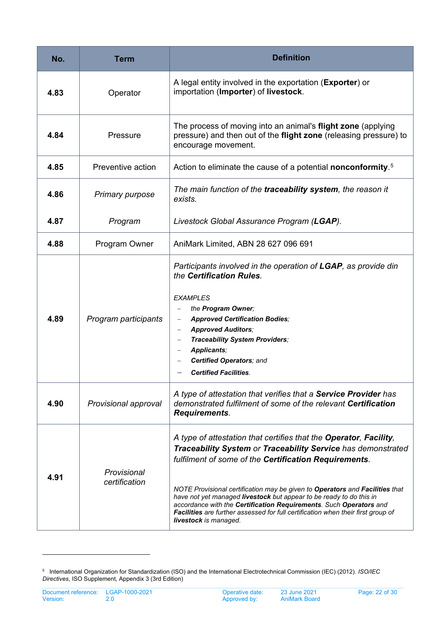| No.  | Term                         | <b>Definition</b>                                                                                                                                                                                                                                                                                                                                                                                                                                                                                                                           |
|------|------------------------------|---------------------------------------------------------------------------------------------------------------------------------------------------------------------------------------------------------------------------------------------------------------------------------------------------------------------------------------------------------------------------------------------------------------------------------------------------------------------------------------------------------------------------------------------|
| 4.83 | Operator                     | A legal entity involved in the exportation (Exporter) or<br>importation (Importer) of livestock.                                                                                                                                                                                                                                                                                                                                                                                                                                            |
| 4.84 | Pressure                     | The process of moving into an animal's flight zone (applying<br>pressure) and then out of the flight zone (releasing pressure) to<br>encourage movement.                                                                                                                                                                                                                                                                                                                                                                                    |
| 4.85 | Preventive action            | Action to eliminate the cause of a potential nonconformity. <sup>5</sup>                                                                                                                                                                                                                                                                                                                                                                                                                                                                    |
| 4.86 | <b>Primary purpose</b>       | The main function of the traceability system, the reason it<br>exists.                                                                                                                                                                                                                                                                                                                                                                                                                                                                      |
| 4.87 | Program                      | Livestock Global Assurance Program (LGAP).                                                                                                                                                                                                                                                                                                                                                                                                                                                                                                  |
| 4.88 | Program Owner                | AniMark Limited, ABN 28 627 096 691                                                                                                                                                                                                                                                                                                                                                                                                                                                                                                         |
| 4.89 | Program participants         | Participants involved in the operation of LGAP, as provide din<br>the Certification Rules.<br><b>EXAMPLES</b><br>the Program Owner;<br><b>Approved Certification Bodies;</b><br><b>Approved Auditors;</b><br>$\qquad \qquad -$<br>Traceability System Providers;<br>Applicants;<br>$\qquad \qquad -$<br><b>Certified Operators; and</b><br><b>Certified Facilities.</b>                                                                                                                                                                     |
| 4.90 | Provisional approval         | A type of attestation that verifies that a Service Provider has<br>demonstrated fulfilment of some of the relevant Certification<br><b>Requirements.</b>                                                                                                                                                                                                                                                                                                                                                                                    |
| 4.91 | Provisional<br>certification | A type of attestation that certifies that the Operator, Facility,<br>Traceability System or Traceability Service has demonstrated<br>fulfilment of some of the Certification Requirements.<br>NOTE Provisional certification may be given to Operators and Facilities that<br>have not yet managed livestock but appear to be ready to do this in<br>accordance with the Certification Requirements. Such Operators and<br>Facilities are further assessed for full certification when their first group of<br><b>livestock</b> is managed. |

<span id="page-21-0"></span><sup>5</sup> International Organization for Standardization (ISO) and the International Electrotechnical Commission (IEC) (2012). *ISO/IEC Directives*, ISO Supplement, Appendix 3 (3rd Edition)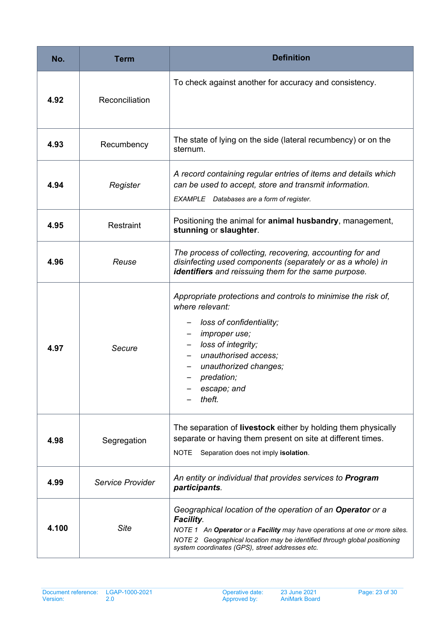| No.   | <b>Term</b>      | <b>Definition</b>                                                                                                                                                                                                                                                                            |
|-------|------------------|----------------------------------------------------------------------------------------------------------------------------------------------------------------------------------------------------------------------------------------------------------------------------------------------|
| 4.92  | Reconciliation   | To check against another for accuracy and consistency.                                                                                                                                                                                                                                       |
| 4.93  | Recumbency       | The state of lying on the side (lateral recumbency) or on the<br>sternum.                                                                                                                                                                                                                    |
| 4.94  | Register         | A record containing regular entries of items and details which<br>can be used to accept, store and transmit information.<br>EXAMPLE Databases are a form of register.                                                                                                                        |
| 4.95  | Restraint        | Positioning the animal for <b>animal husbandry</b> , management,<br>stunning or slaughter.                                                                                                                                                                                                   |
| 4.96  | Reuse            | The process of collecting, recovering, accounting for and<br>disinfecting used components (separately or as a whole) in<br>identifiers and reissuing them for the same purpose.                                                                                                              |
| 4.97  | Secure           | Appropriate protections and controls to minimise the risk of,<br>where relevant:<br>loss of confidentiality;<br><i>improper use;</i><br>$\overline{\phantom{m}}$<br>loss of integrity;<br>unauthorised access;<br>unauthorized changes;<br>predation;<br>escape; and<br>theft.               |
| 4.98  | Segregation      | The separation of livestock either by holding them physically<br>separate or having them present on site at different times.<br><b>NOTE</b><br>Separation does not imply isolation.                                                                                                          |
| 4.99  | Service Provider | An entity or individual that provides services to <b>Program</b><br>participants.                                                                                                                                                                                                            |
| 4.100 | <b>Site</b>      | Geographical location of the operation of an Operator or a<br><b>Facility.</b><br>NOTE 1 An Operator or a Facility may have operations at one or more sites.<br>NOTE 2 Geographical location may be identified through global positioning<br>system coordinates (GPS), street addresses etc. |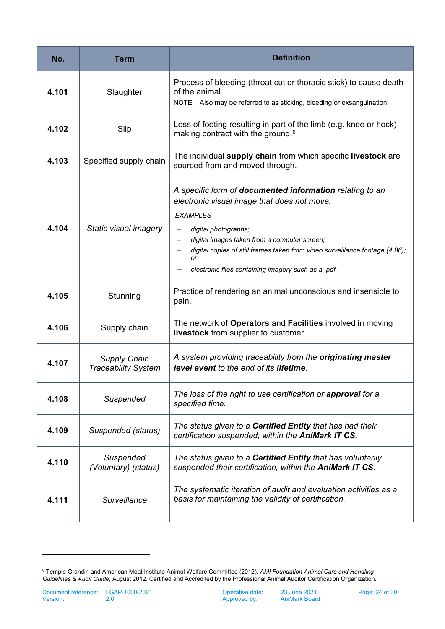| No.   | Term                                              | <b>Definition</b>                                                                                                                                                                                                                                                                                                                               |
|-------|---------------------------------------------------|-------------------------------------------------------------------------------------------------------------------------------------------------------------------------------------------------------------------------------------------------------------------------------------------------------------------------------------------------|
| 4.101 | Slaughter                                         | Process of bleeding (throat cut or thoracic stick) to cause death<br>of the animal.<br>NOTE Also may be referred to as sticking, bleeding or exsanguination.                                                                                                                                                                                    |
| 4.102 | Slip                                              | Loss of footing resulting in part of the limb (e.g. knee or hock)<br>making contract with the ground. <sup>6</sup>                                                                                                                                                                                                                              |
| 4.103 | Specified supply chain                            | The individual supply chain from which specific livestock are<br>sourced from and moved through.                                                                                                                                                                                                                                                |
| 4.104 | Static visual imagery                             | A specific form of documented information relating to an<br>electronic visual image that does not move.<br><b>EXAMPLES</b><br>digital photographs;<br>digital images taken from a computer screen;<br>digital copies of still frames taken from video surveillance footage (4.86);<br>or<br>electronic files containing imagery such as a .pdf. |
| 4.105 | Stunning                                          | Practice of rendering an animal unconscious and insensible to<br>pain.                                                                                                                                                                                                                                                                          |
| 4.106 | Supply chain                                      | The network of Operators and Facilities involved in moving<br>livestock from supplier to customer.                                                                                                                                                                                                                                              |
| 4.107 | <b>Supply Chain</b><br><b>Traceability System</b> | A system providing traceability from the originating master<br>level event to the end of its lifetime.                                                                                                                                                                                                                                          |
| 4.108 | Suspended                                         | The loss of the right to use certification or approval for a<br>specified time.                                                                                                                                                                                                                                                                 |
| 4.109 | Suspended (status)                                | The status given to a <b>Certified Entity</b> that has had their<br>certification suspended, within the AniMark IT CS.                                                                                                                                                                                                                          |
| 4.110 | Suspended<br>(Voluntary) (status)                 | The status given to a <b>Certified Entity</b> that has voluntarily<br>suspended their certification, within the AniMark IT CS.                                                                                                                                                                                                                  |
| 4.111 | Surveillance                                      | The systematic iteration of audit and evaluation activities as a<br>basis for maintaining the validity of certification.                                                                                                                                                                                                                        |

<span id="page-23-0"></span><sup>6</sup> Temple Grandin and American Meat Institute Animal Welfare Committee (2012). *AMI Foundation Animal Care and Handling Guidelines & Audit Guide*, August 2012. Certified and Accredited by the Professional Animal Auditor Certification Organization.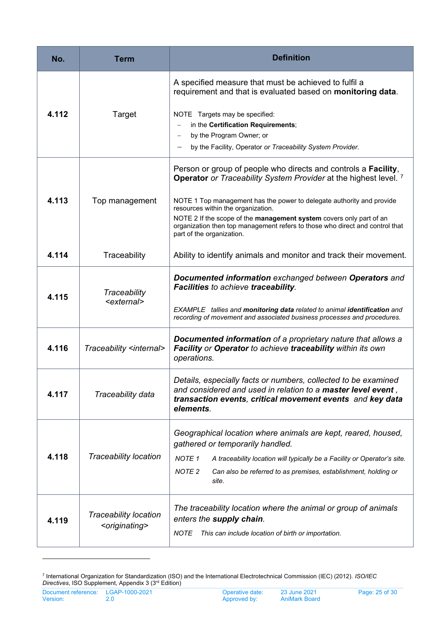| No.   | Term                                                        | <b>Definition</b>                                                                                                                                                                                                                                                                                                                                                                                                                                                                                           |
|-------|-------------------------------------------------------------|-------------------------------------------------------------------------------------------------------------------------------------------------------------------------------------------------------------------------------------------------------------------------------------------------------------------------------------------------------------------------------------------------------------------------------------------------------------------------------------------------------------|
| 4.112 | Target                                                      | A specified measure that must be achieved to fulfil a<br>requirement and that is evaluated based on monitoring data.<br>NOTE Targets may be specified:<br>in the Certification Requirements;<br>by the Program Owner; or<br>$\qquad \qquad -$                                                                                                                                                                                                                                                               |
| 4.113 | Top management                                              | by the Facility, Operator or Traceability System Provider.<br>Person or group of people who directs and controls a <b>Facility</b> ,<br>Operator or Traceability System Provider at the highest level. 7<br>NOTE 1 Top management has the power to delegate authority and provide<br>resources within the organization.<br>NOTE 2 If the scope of the management system covers only part of an<br>organization then top management refers to those who direct and control that<br>part of the organization. |
| 4.114 | Traceability                                                | Ability to identify animals and monitor and track their movement.                                                                                                                                                                                                                                                                                                                                                                                                                                           |
| 4.115 | Traceability<br><external></external>                       | Documented information exchanged between Operators and<br>Facilities to achieve traceability.<br>EXAMPLE tallies and monitoring data related to animal identification and<br>recording of movement and associated business processes and procedures.                                                                                                                                                                                                                                                        |
| 4.116 | Traceability <internal></internal>                          | Documented information of a proprietary nature that allows a<br>Facility or Operator to achieve traceability within its own<br>operations.                                                                                                                                                                                                                                                                                                                                                                  |
| 4.117 | Traceability data                                           | Details, especially facts or numbers, collected to be examined<br>and considered and used in relation to a master level event,<br>transaction events, critical movement events and key data<br>elements.                                                                                                                                                                                                                                                                                                    |
| 4.118 | <b>Traceability location</b>                                | Geographical location where animals are kept, reared, housed,<br>gathered or temporarily handled.<br><b>NOTE 1</b><br>A traceability location will typically be a Facility or Operator's site.<br>NOTE <sub>2</sub><br>Can also be referred to as premises, establishment, holding or<br>site.                                                                                                                                                                                                              |
| 4.119 | <b>Traceability location</b><br><originating></originating> | The traceability location where the animal or group of animals<br>enters the supply chain.<br><i>NOTE</i><br>This can include location of birth or importation.                                                                                                                                                                                                                                                                                                                                             |

<span id="page-24-0"></span><sup>7</sup> International Organization for Standardization (ISO) and the International Electrotechnical Commission (IEC) (2012). *ISO/IEC Directives*, ISO Supplement, Appendix 3 (3rd Edition)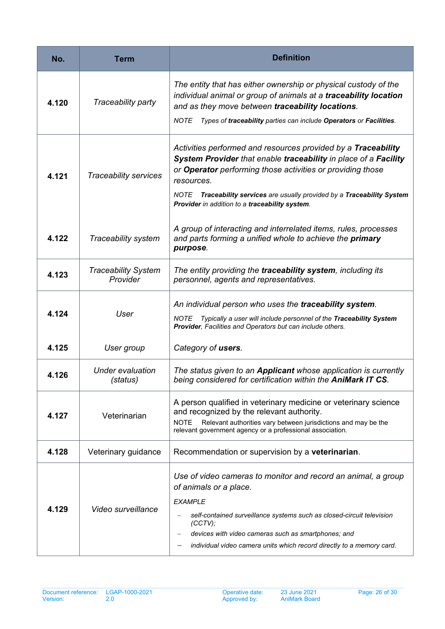| No.   | Term                                   | <b>Definition</b>                                                                                                                                                                                                                                                                                                                             |
|-------|----------------------------------------|-----------------------------------------------------------------------------------------------------------------------------------------------------------------------------------------------------------------------------------------------------------------------------------------------------------------------------------------------|
| 4.120 | Traceability party                     | The entity that has either ownership or physical custody of the<br>individual animal or group of animals at a traceability location<br>and as they move between traceability locations.<br><b>NOTE</b><br>Types of traceability parties can include Operators or Facilities.                                                                  |
| 4.121 | <b>Traceability services</b>           | Activities performed and resources provided by a Traceability<br>System Provider that enable traceability in place of a Facility<br>or Operator performing those activities or providing those<br>resources.<br>Traceability services are usually provided by a Traceability System<br>NOTE<br>Provider in addition to a traceability system. |
| 4.122 | Traceability system                    | A group of interacting and interrelated items, rules, processes<br>and parts forming a unified whole to achieve the primary<br>purpose.                                                                                                                                                                                                       |
| 4.123 | <b>Traceability System</b><br>Provider | The entity providing the traceability system, including its<br>personnel, agents and representatives.                                                                                                                                                                                                                                         |
| 4.124 | User                                   | An individual person who uses the traceability system.<br><b>NOTE</b><br>Typically a user will include personnel of the Traceability System<br>Provider, Facilities and Operators but can include others.                                                                                                                                     |
| 4.125 | User group                             | Category of users.                                                                                                                                                                                                                                                                                                                            |
| 4.126 | <b>Under evaluation</b><br>(status)    | The status given to an Applicant whose application is currently<br>being considered for certification within the AniMark IT CS                                                                                                                                                                                                                |
| 4.127 | Veterinarian                           | A person qualified in veterinary medicine or veterinary science<br>and recognized by the relevant authority.<br><b>NOTE</b><br>Relevant authorities vary between jurisdictions and may be the<br>relevant government agency or a professional association.                                                                                    |
| 4.128 | Veterinary guidance                    | Recommendation or supervision by a veterinarian.                                                                                                                                                                                                                                                                                              |
| 4.129 | Video surveillance                     | Use of video cameras to monitor and record an animal, a group<br>of animals or a place.<br><b>EXAMPLE</b><br>self-contained surveillance systems such as closed-circuit television<br>$(CCTV)$ ;<br>devices with video cameras such as smartphones; and<br>individual video camera units which record directly to a memory card.              |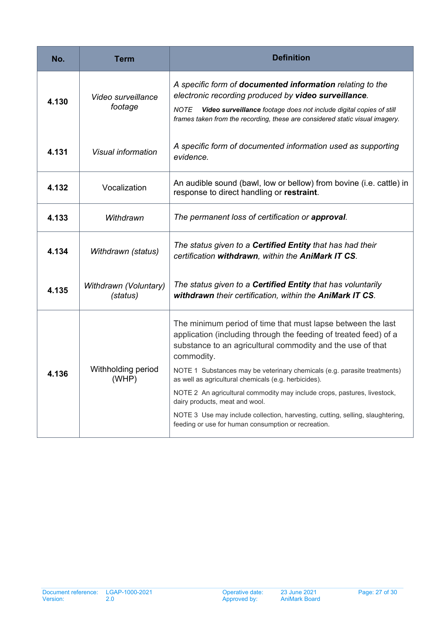<span id="page-26-0"></span>

| No.   | <b>Term</b>                       | <b>Definition</b>                                                                                                                                                                                           |
|-------|-----------------------------------|-------------------------------------------------------------------------------------------------------------------------------------------------------------------------------------------------------------|
| 4.130 | Video surveillance<br>footage     | A specific form of documented information relating to the<br>electronic recording produced by video surveillance.<br>Video surveillance footage does not include digital copies of still<br>NOTE            |
|       |                                   | frames taken from the recording, these are considered static visual imagery.                                                                                                                                |
| 4.131 | Visual information                | A specific form of documented information used as supporting<br>evidence.                                                                                                                                   |
| 4.132 | Vocalization                      | An audible sound (bawl, low or bellow) from bovine (i.e. cattle) in<br>response to direct handling or restraint.                                                                                            |
| 4.133 | Withdrawn                         | The permanent loss of certification or approval.                                                                                                                                                            |
| 4.134 | Withdrawn (status)                | The status given to a <b>Certified Entity</b> that has had their<br>certification withdrawn, within the AniMark IT CS.                                                                                      |
| 4.135 | Withdrawn (Voluntary)<br>(status) | The status given to a <b>Certified Entity</b> that has voluntarily<br>withdrawn their certification, within the AniMark IT CS.                                                                              |
| 4.136 | Withholding period<br>(WHP)       | The minimum period of time that must lapse between the last<br>application (including through the feeding of treated feed) of a<br>substance to an agricultural commodity and the use of that<br>commodity. |
|       |                                   | NOTE 1 Substances may be veterinary chemicals (e.g. parasite treatments)<br>as well as agricultural chemicals (e.g. herbicides).                                                                            |
|       |                                   | NOTE 2 An agricultural commodity may include crops, pastures, livestock,<br>dairy products, meat and wool.                                                                                                  |
|       |                                   | NOTE 3 Use may include collection, harvesting, cutting, selling, slaughtering,<br>feeding or use for human consumption or recreation.                                                                       |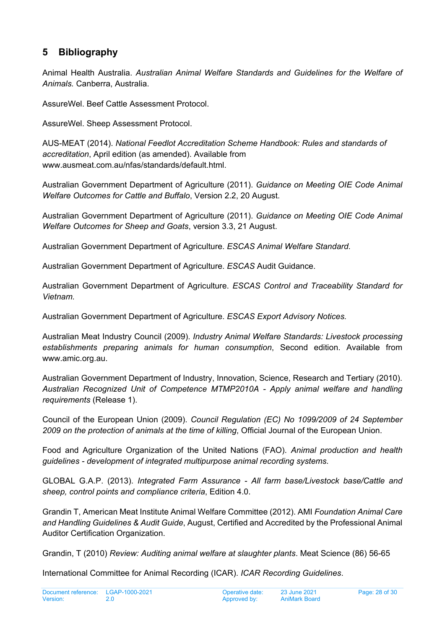## <span id="page-27-0"></span>**5 Bibliography**

Animal Health Australia. *Australian Animal Welfare Standards and Guidelines for the Welfare of Animals.* Canberra, Australia.

AssureWel. Beef Cattle Assessment Protocol.

AssureWel. Sheep Assessment Protocol.

AUS-MEAT (2014). *National Feedlot Accreditation Scheme Handbook: Rules and standards of accreditation*, April edition (as amended). Available from www.ausmeat.com.au/nfas/standards/default.html.

Australian Government Department of Agriculture (2011). *Guidance on Meeting OIE Code Animal Welfare Outcomes for Cattle and Buffalo*, Version 2.2, 20 August.

Australian Government Department of Agriculture (2011). *Guidance on Meeting OIE Code Animal Welfare Outcomes for Sheep and Goats*, version 3.3, 21 August.

Australian Government Department of Agriculture. *ESCAS Animal Welfare Standard.*

Australian Government Department of Agriculture. *ESCAS* Audit Guidance.

Australian Government Department of Agriculture. *ESCAS Control and Traceability Standard for Vietnam.*

Australian Government Department of Agriculture. *ESCAS Export Advisory Notices.*

Australian Meat Industry Council (2009). *Industry Animal Welfare Standards: Livestock processing establishments preparing animals for human consumption*, Second edition. Available from www.amic.org.au.

Australian Government Department of Industry, Innovation, Science, Research and Tertiary (2010). *Australian Recognized Unit of Competence MTMP2010A - Apply animal welfare and handling requirements* (Release 1).

Council of the European Union (2009). *Council Regulation (EC) No 1099/2009 of 24 September 2009 on the protection of animals at the time of killing*, Official Journal of the European Union.

Food and Agriculture Organization of the United Nations (FAO). *Animal production and health guidelines - development of integrated multipurpose animal recording systems.*

GLOBAL G.A.P. (2013). *Integrated Farm Assurance - All farm base/Livestock base/Cattle and sheep, control points and compliance criteria*, Edition 4.0.

Grandin T, American Meat Institute Animal Welfare Committee (2012). AMI *Foundation Animal Care and Handling Guidelines & Audit Guide*, August, Certified and Accredited by the Professional Animal Auditor Certification Organization.

Grandin, T (2010) *Review: Auditing animal welfare at slaughter plants*. Meat Science (86) 56-65

International Committee for Animal Recording (ICAR). *ICAR Recording Guidelines*.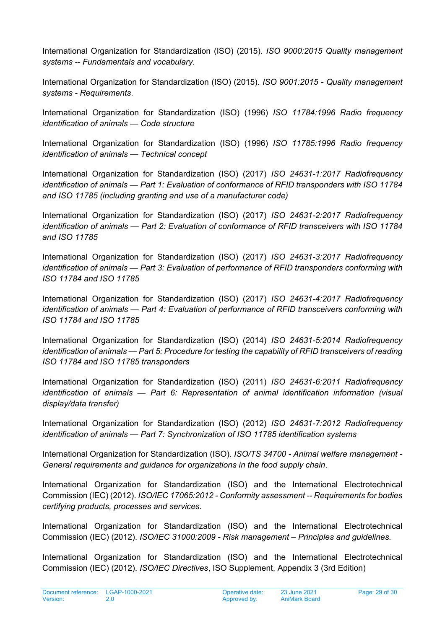International Organization for Standardization (ISO) (2015). *ISO 9000:2015 Quality management systems -- Fundamentals and vocabulary*.

International Organization for Standardization (ISO) (2015). *ISO 9001:2015 - Quality management systems - Requirements*.

International Organization for Standardization (ISO) (1996) *ISO 11784:1996 Radio frequency identification of animals — Code structure*

International Organization for Standardization (ISO) (1996) *ISO 11785:1996 Radio frequency identification of animals — Technical concept*

International Organization for Standardization (ISO) (2017) *ISO 24631-1:2017 Radiofrequency identification of animals — Part 1: Evaluation of conformance of RFID transponders with ISO 11784 and ISO 11785 (including granting and use of a manufacturer code)*

International Organization for Standardization (ISO) (2017) *ISO 24631-2:2017 Radiofrequency identification of animals — Part 2: Evaluation of conformance of RFID transceivers with ISO 11784 and ISO 11785*

International Organization for Standardization (ISO) (2017) *ISO 24631-3:2017 Radiofrequency identification of animals — Part 3: Evaluation of performance of RFID transponders conforming with ISO 11784 and ISO 11785*

International Organization for Standardization (ISO) (2017) *ISO 24631-4:2017 Radiofrequency identification of animals — Part 4: Evaluation of performance of RFID transceivers conforming with ISO 11784 and ISO 11785*

International Organization for Standardization (ISO) (2014) *ISO 24631-5:2014 Radiofrequency identification of animals — Part 5: Procedure for testing the capability of RFID transceivers of reading ISO 11784 and ISO 11785 transponders*

International Organization for Standardization (ISO) (2011) *ISO 24631-6:2011 Radiofrequency identification of animals — Part 6: Representation of animal identification information (visual display/data transfer)*

International Organization for Standardization (ISO) (2012) *ISO 24631-7:2012 Radiofrequency identification of animals — Part 7: Synchronization of ISO 11785 identification systems*

International Organization for Standardization (ISO). *ISO/TS 34700 - Animal welfare management - General requirements and guidance for organizations in the food supply chain*.

International Organization for Standardization (ISO) and the International Electrotechnical Commission (IEC) (2012). *ISO/IEC 17065:2012 - Conformity assessment -- Requirements for bodies certifying products, processes and services*.

International Organization for Standardization (ISO) and the International Electrotechnical Commission (IEC) (2012). *ISO/IEC 31000:2009 - Risk management – Principles and guidelines.*

International Organization for Standardization (ISO) and the International Electrotechnical Commission (IEC) (2012). *ISO/IEC Directives*, ISO Supplement, Appendix 3 (3rd Edition)